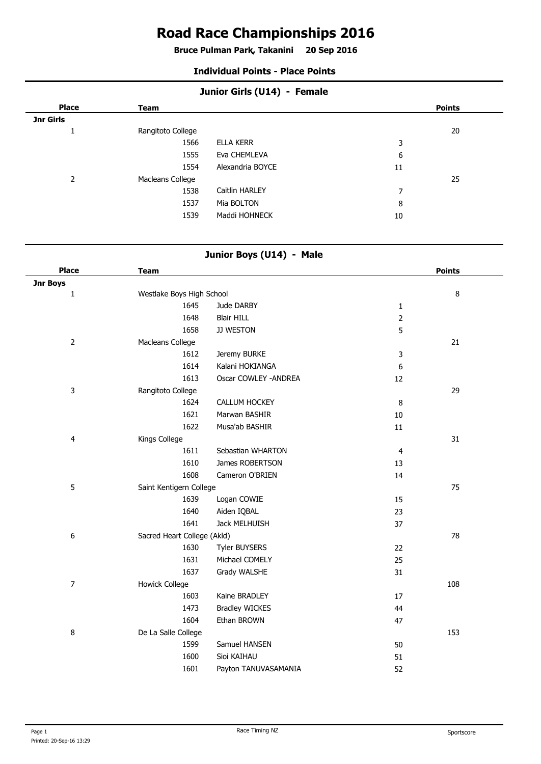# **Road Race Championships 2016**

**Bruce Pulman Park, Takanini 20 Sep 2016 .**

#### **Individual Points - Place Points**

| Junior Girls (U14) - Female |                   |                  |                |               |
|-----------------------------|-------------------|------------------|----------------|---------------|
| <b>Place</b>                | <b>Team</b>       |                  |                | <b>Points</b> |
| Jnr Girls                   |                   |                  |                |               |
| л                           | Rangitoto College |                  |                | 20            |
|                             | 1566              | <b>ELLA KERR</b> | 3              |               |
|                             | 1555              | Eva CHEMLEVA     | 6              |               |
|                             | 1554              | Alexandria BOYCE | 11             |               |
| 2                           | Macleans College  |                  |                | 25            |
|                             | 1538              | Caitlin HARLEY   | $\overline{ }$ |               |
|                             | 1537              | Mia BOLTON       | 8              |               |
|                             | 1539              | Maddi HOHNECK    | 10             |               |
|                             |                   |                  |                |               |

#### **Junior Boys (U14) - Male**

| <b>Place</b><br><b>Team</b>               |                             |                | <b>Points</b> |
|-------------------------------------------|-----------------------------|----------------|---------------|
| Jnr Boys                                  |                             |                |               |
| $\mathbf{1}$<br>Westlake Boys High School |                             |                | 8             |
| 1645                                      | Jude DARBY                  | $\mathbf{1}$   |               |
| 1648                                      | <b>Blair HILL</b>           | $\overline{2}$ |               |
| 1658                                      | JJ WESTON                   | 5              |               |
| $\overline{2}$<br>Macleans College        |                             |                | 21            |
| 1612                                      | Jeremy BURKE                | 3              |               |
| 1614                                      | Kalani HOKIANGA             | 6              |               |
| 1613                                      | Oscar COWLEY - ANDREA       | 12             |               |
| 3<br>Rangitoto College                    |                             |                | 29            |
| 1624                                      | CALLUM HOCKEY               | 8              |               |
| 1621                                      | Marwan BASHIR               | 10             |               |
| 1622                                      | Musa'ab BASHIR              | $11\,$         |               |
| 4<br>Kings College                        |                             |                | 31            |
| 1611                                      | Sebastian WHARTON           | 4              |               |
| 1610                                      | James ROBERTSON             | 13             |               |
| 1608                                      | Cameron O'BRIEN             | 14             |               |
| 5                                         | Saint Kentigern College     |                | 75            |
| 1639                                      | Logan COWIE                 | 15             |               |
| 1640                                      | Aiden IQBAL                 | 23             |               |
| 1641                                      | Jack MELHUISH               | 37             |               |
| 6                                         | Sacred Heart College (Akld) |                | 78            |
| 1630                                      | <b>Tyler BUYSERS</b>        | 22             |               |
| 1631                                      | Michael COMELY              | 25             |               |
| 1637                                      | Grady WALSHE                | 31             |               |
| $\overline{7}$<br>Howick College          |                             |                | 108           |
| 1603                                      | Kaine BRADLEY               | 17             |               |
| 1473                                      | <b>Bradley WICKES</b>       | 44             |               |
| 1604                                      | Ethan BROWN                 | 47             |               |
| 8<br>De La Salle College                  |                             |                | 153           |
| 1599                                      | Samuel HANSEN               | 50             |               |
| 1600                                      | Sioi KAIHAU                 | 51             |               |
| 1601                                      | Payton TANUVASAMANIA        | 52             |               |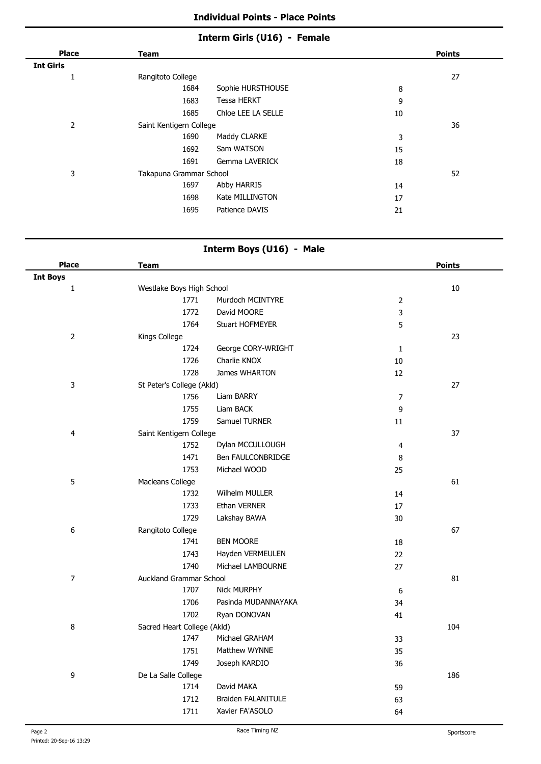#### **Individual Points - Place Points**

# **Interm Girls (U16) - Female**

| <b>Place</b>     | <b>Team</b>             |                    |    | <b>Points</b> |
|------------------|-------------------------|--------------------|----|---------------|
| <b>Int Girls</b> |                         |                    |    |               |
| Ŧ.               | Rangitoto College       |                    |    | 27            |
|                  | 1684                    | Sophie HURSTHOUSE  | 8  |               |
|                  | 1683                    | <b>Tessa HERKT</b> | 9  |               |
|                  | 1685                    | Chloe LEE LA SELLE | 10 |               |
| 2                | Saint Kentigern College |                    |    | 36            |
|                  | 1690                    | Maddy CLARKE       | 3  |               |
|                  | 1692                    | Sam WATSON         | 15 |               |
|                  | 1691                    | Gemma LAVERICK     | 18 |               |
| 3                | Takapuna Grammar School |                    |    | 52            |
|                  | 1697                    | Abby HARRIS        | 14 |               |
|                  | 1698                    | Kate MILLINGTON    | 17 |               |
|                  | 1695                    | Patience DAVIS     | 21 |               |

# **Interm Boys (U16) - Male**

| <b>Place</b>    | <b>Team</b>                 |                           |                | <b>Points</b> |
|-----------------|-----------------------------|---------------------------|----------------|---------------|
| <b>Int Boys</b> |                             |                           |                |               |
| $\mathbf 1$     | Westlake Boys High School   |                           |                | $10\,$        |
|                 | 1771                        | Murdoch MCINTYRE          | $\overline{2}$ |               |
|                 | 1772                        | David MOORE               | 3              |               |
|                 | 1764                        | Stuart HOFMEYER           | 5              |               |
| $\overline{2}$  | Kings College               |                           |                | 23            |
|                 | 1724                        | George CORY-WRIGHT        | $\mathbf 1$    |               |
|                 | 1726                        | Charlie KNOX              | 10             |               |
|                 | 1728                        | James WHARTON             | $12\,$         |               |
| 3               | St Peter's College (Akld)   |                           |                | 27            |
|                 | 1756                        | Liam BARRY                | $\overline{7}$ |               |
|                 | 1755                        | Liam BACK                 | 9              |               |
|                 | 1759                        | Samuel TURNER             | $11\,$         |               |
| 4               | Saint Kentigern College     |                           |                | 37            |
|                 | 1752                        | Dylan MCCULLOUGH          | $\overline{4}$ |               |
|                 | 1471                        | Ben FAULCONBRIDGE         | 8              |               |
|                 | 1753                        | Michael WOOD              | 25             |               |
| 5               | Macleans College            |                           |                | 61            |
|                 | 1732                        | Wilhelm MULLER            | 14             |               |
|                 | 1733                        | Ethan VERNER              | 17             |               |
|                 | 1729                        | Lakshay BAWA              | 30             |               |
| 6               | Rangitoto College           |                           |                | 67            |
|                 | 1741                        | <b>BEN MOORE</b>          | 18             |               |
|                 | 1743                        | Hayden VERMEULEN          | 22             |               |
|                 | 1740                        | Michael LAMBOURNE         | 27             |               |
| $\overline{7}$  | Auckland Grammar School     |                           |                | 81            |
|                 | 1707                        | <b>Nick MURPHY</b>        | 6              |               |
|                 | 1706                        | Pasinda MUDANNAYAKA       | 34             |               |
|                 | 1702                        | Ryan DONOVAN              | 41             |               |
| 8               | Sacred Heart College (Akld) |                           |                | 104           |
|                 | 1747                        | Michael GRAHAM            | 33             |               |
|                 | 1751                        | Matthew WYNNE             | 35             |               |
|                 | 1749                        | Joseph KARDIO             | 36             |               |
| 9               | De La Salle College         |                           |                | 186           |
|                 | 1714                        | David MAKA                | 59             |               |
|                 | 1712                        | <b>Braiden FALANITULE</b> | 63             |               |
|                 | 1711                        | Xavier FA'ASOLO           | 64             |               |